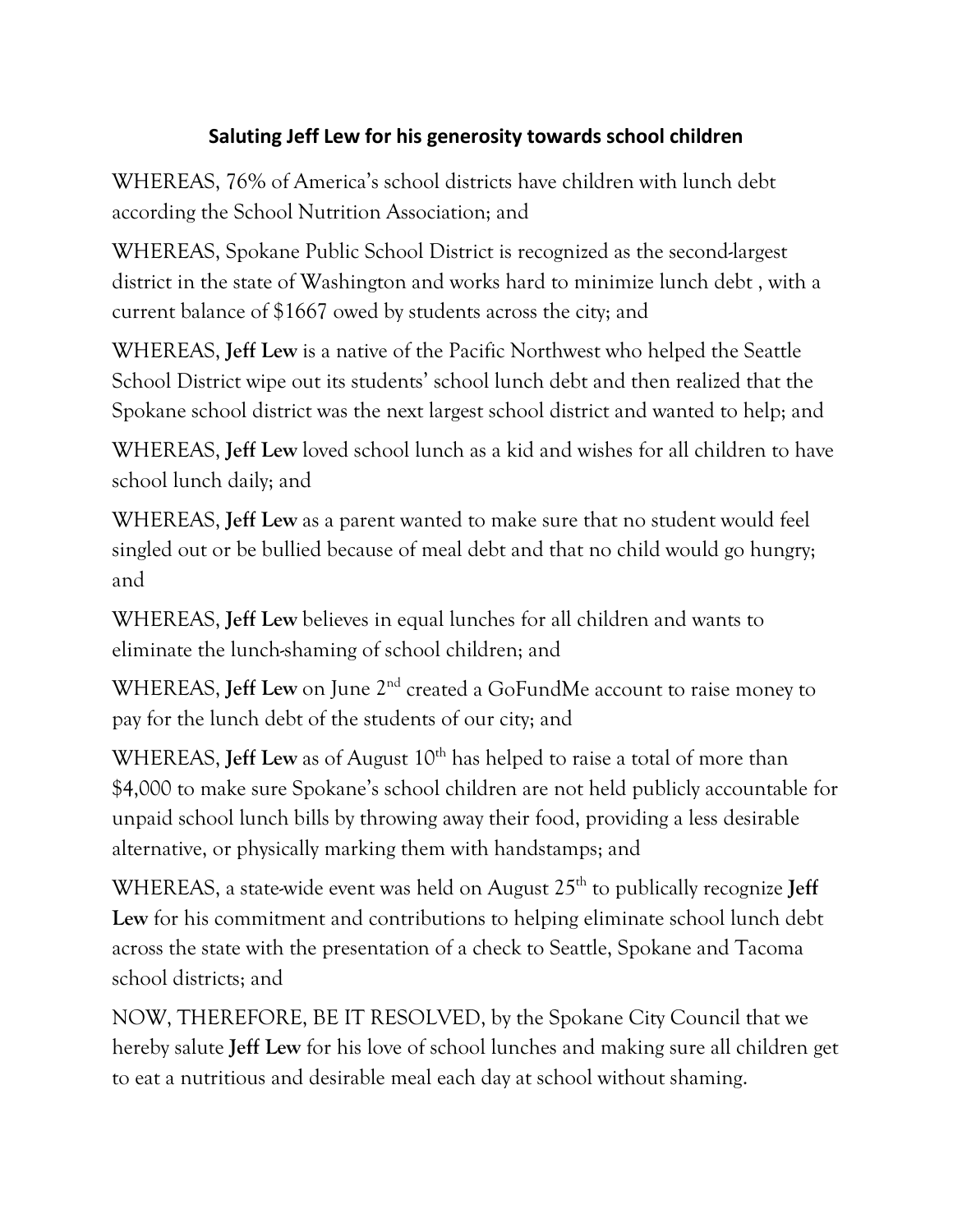## **Saluting Jeff Lew for his generosity towards school children**

WHEREAS, 76% of America's school districts have children with lunch debt according the School Nutrition Association; and

WHEREAS, Spokane Public School District is recognized as the second-largest district in the state of Washington and works hard to minimize lunch debt , with a current balance of \$1667 owed by students across the city; and

WHEREAS, **Jeff Lew** is a native of the Pacific Northwest who helped the Seattle School District wipe out its students' school lunch debt and then realized that the Spokane school district was the next largest school district and wanted to help; and

WHEREAS, **Jeff Lew** loved school lunch as a kid and wishes for all children to have school lunch daily; and

WHEREAS, **Jeff Lew** as a parent wanted to make sure that no student would feel singled out or be bullied because of meal debt and that no child would go hungry; and

WHEREAS, **Jeff Lew** believes in equal lunches for all children and wants to eliminate the lunch-shaming of school children; and

WHEREAS, **Jeff Lew** on June 2<sup>nd</sup> created a GoFundMe account to raise money to pay for the lunch debt of the students of our city; and

WHEREAS, **Jeff Lew** as of August 10<sup>th</sup> has helped to raise a total of more than \$4,000 to make sure Spokane's school children are not held publicly accountable for unpaid school lunch bills by throwing away their food, providing a less desirable alternative, or physically marking them with handstamps; and

WHEREAS, a state-wide event was held on August 25<sup>th</sup> to publically recognize **Jeff Lew** for his commitment and contributions to helping eliminate school lunch debt across the state with the presentation of a check to Seattle, Spokane and Tacoma school districts; and

NOW, THEREFORE, BE IT RESOLVED, by the Spokane City Council that we hereby salute **Jeff Lew** for his love of school lunches and making sure all children get to eat a nutritious and desirable meal each day at school without shaming.